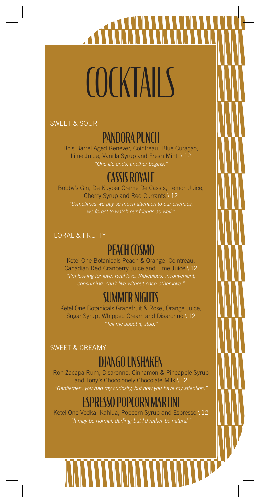# COCKTAILS

SWEET & SOUR

# PANDORA PUNCH

Bols Barrel Aged Genever, Cointreau, Blue Curaçao, Lime Juice, Vanilla Syrup and Fresh Mint \ 12 *"One life ends, another begins."*

# TASSIS ROYALE

Bobby's Gin, De Kuyper Creme De Cassis, Lemon Juice, Cherry Syrup and Red Currants \ 12 *"Sometimes we pay so much attention to our enemies,*  we forget to watch our friends as well.

### FLORAL & FRUITY

# PEACH COSMO

Ketel One Botanicals Peach & Orange, Cointreau, Canadian Red Cranberry Juice and Lime Juice \ 12 *"I'm looking for love. Real love. Ridiculous, inconvenient, consuming, can't-live-without-each-other love."*

# SUMMER NIGHTS

Ketel One Botanicals Grapefruit & Rose, Orange Juice, Sugar Syrup, Whipped Cream and Disaronno \ 12 *"Tell me about it, stud."*

#### SWEET & CREAMY

# DJANGO UNSHAKEN

Ron Zacapa Rum, Disaronno, Cinnamon & Pineapple Syrup and Tony's Chocolonely Chocolate Milk \ 12 *"Gentlemen, you had my curiosity, but now you have my attention."*

# ESPRESSO POPCORN MART

Ketel One Vodka, Kahlua, Popcorn Syrup and Espresso \ 12 *"It may be normal, darling; but I'd rather be natural."*